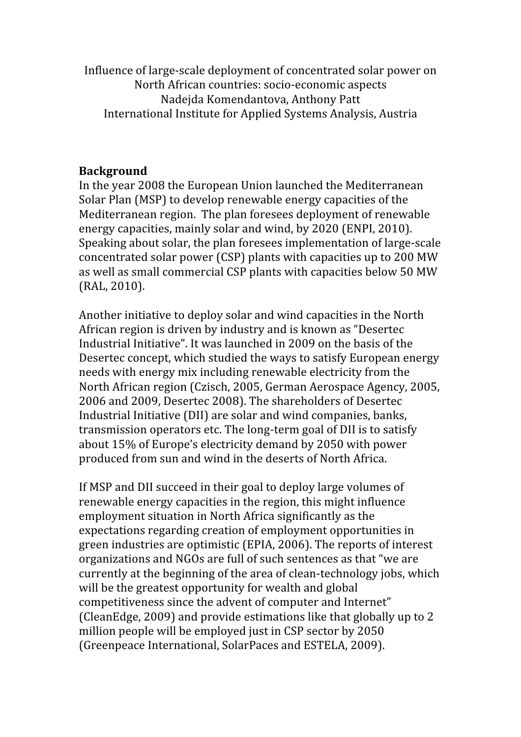Influence of large‐scale deployment of concentrated solar power on North African countries: socio‐economic aspects Nadejda Komendantova, Anthony Patt International Institute for Applied Systems Analysis, Austria

### **Background**

In the year 2008 the European Union launched the Mediterranean Solar Plan (MSP) to develop renewable energy capacities of the Mediterranean region. The plan foresees deployment of renewable energy capacities, mainly solar and wind, by 2020 (ENPI, 2010). Speaking about solar, the plan foresees implementation of large‐scale concentrated solar power (CSP) plants with capacities up to 200 MW as well as small commercial CSP plants with capacities below 50 MW (RAL, 2010).

Another initiative to deploy solar and wind capacities in the North African region is driven by industry and is known as "Desertec Industrial Initiative". It was launched in 2009 on the basis of the Desertec concept, which studied the ways to satisfy European energy needs with energy mix including renewable electricity from the North African region (Czisch, 2005, German Aerospace Agency, 2005, 2006 and 2009, Desertec 2008). The shareholders of Desertec Industrial Initiative (DII) are solar and wind companies, banks, transmission operators etc. The long‐term goal of DII is to satisfy about 15% of Europe's electricity demand by 2050 with power produced from sun and wind in the deserts of North Africa.

If MSP and DII succeed in their goal to deploy large volumes of renewable energy capacities in the region, this might influence employment situation in North Africa significantly as the expectations regarding creation of employment opportunities in green industries are optimistic (EPIA, 2006). The reports of interest organizations and NGOs are full of such sentences as that "we are currently at the beginning of the area of clean‐technology jobs, which will be the greatest opportunity for wealth and global competitiveness since the advent of computer and Internet" (CleanEdge, 2009) and provide estimations like that globally up to 2 million people will be employed just in CSP sector by 2050 (Greenpeace International, SolarPaces and ESTELA, 2009).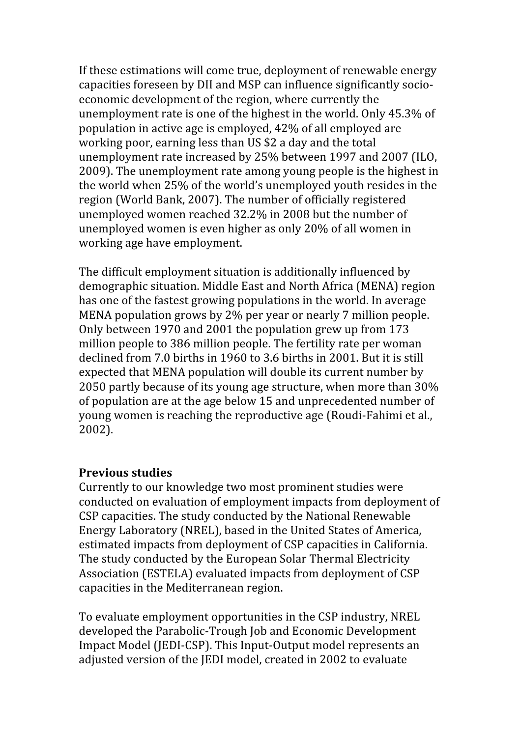If these estimations will come true, deployment of renewable energy capacities foreseen by DII and MSP can influence significantly socio‐ economic development of the region, where currently the unemployment rate is one of the highest in the world. Only 45.3% of population in active age is employed, 42% of all employed are working poor, earning less than US \$2 a day and the total unemployment rate increased by 25% between 1997 and 2007 (ILO, 2009). The unemployment rate among young people is the highest in the world when 25% of the world's unemployed youth resides in the region (World Bank, 2007). The number of officially registered unemployed women reached 32.2% in 2008 but the number of unemployed women is even higher as only 20% of all women in working age have employment.

The difficult employment situation is additionally influenced by demographic situation. Middle East and North Africa (MENA) region has one of the fastest growing populations in the world. In average MENA population grows by 2% per year or nearly 7 million people. Only between 1970 and 2001 the population grew up from 173 million people to 386 million people. The fertility rate per woman declined from 7.0 births in 1960 to 3.6 births in 2001. But it is still expected that MENA population will double its current number by 2050 partly because of its young age structure, when more than 30% of population are at the age below 15 and unprecedented number of young women is reaching the reproductive age (Roudi‐Fahimi et al., 2002).

## **Previous studies**

Currently to our knowledge two most prominent studies were conducted on evaluation of employment impacts from deployment of CSP capacities. The study conducted by the National Renewable Energy Laboratory (NREL), based in the United States of America, estimated impacts from deployment of CSP capacities in California. The study conducted by the European Solar Thermal Electricity Association (ESTELA) evaluated impacts from deployment of CSP capacities in the Mediterranean region.

To evaluate employment opportunities in the CSP industry, NREL developed the Parabolic‐Trough Job and Economic Development Impact Model (JEDI‐CSP). This Input‐Output model represents an adjusted version of the JEDI model, created in 2002 to evaluate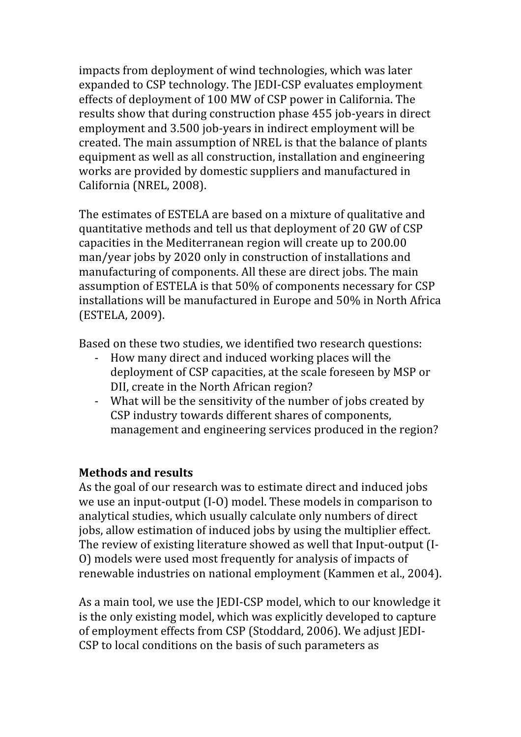impacts from deployment of wind technologies, which was later expanded to CSP technology. The JEDI‐CSP evaluates employment effects of deployment of 100 MW of CSP power in California. The results show that during construction phase 455 job-years in direct employment and 3.500 job-years in indirect employment will be created. The main assumption of NREL is that the balance of plants equipment as well as all construction, installation and engineering works are provided by domestic suppliers and manufactured in California (NREL, 2008).

The estimates of ESTELA are based on a mixture of qualitative and quantitative methods and tell us that deployment of 20 GW of CSP capacities in the Mediterranean region will create up to 200.00 man/year jobs by 2020 only in construction of installations and manufacturing of components. All these are direct jobs. The main assumption of ESTELA is that 50% of components necessary for CSP installations will be manufactured in Europe and 50% in North Africa (ESTELA, 2009).

Based on these two studies, we identified two research questions:

- ‐ How many direct and induced working places will the deployment of CSP capacities, at the scale foreseen by MSP or DII, create in the North African region?
- ‐ What will be the sensitivity of the number of jobs created by CSP industry towards different shares of components, management and engineering services produced in the region?

## **Methods and results**

As the goal of our research was to estimate direct and induced jobs we use an input-output (I-O) model. These models in comparison to analytical studies, which usually calculate only numbers of direct jobs, allow estimation of induced jobs by using the multiplier effect. The review of existing literature showed as well that Input‐output (I‐ O) models were used most frequently for analysis of impacts of renewable industries on national employment (Kammen et al., 2004).

As a main tool, we use the JEDI‐CSP model, which to our knowledge it is the only existing model, which was explicitly developed to capture of employment effects from CSP (Stoddard, 2006). We adjust JEDI‐ CSP to local conditions on the basis of such parameters as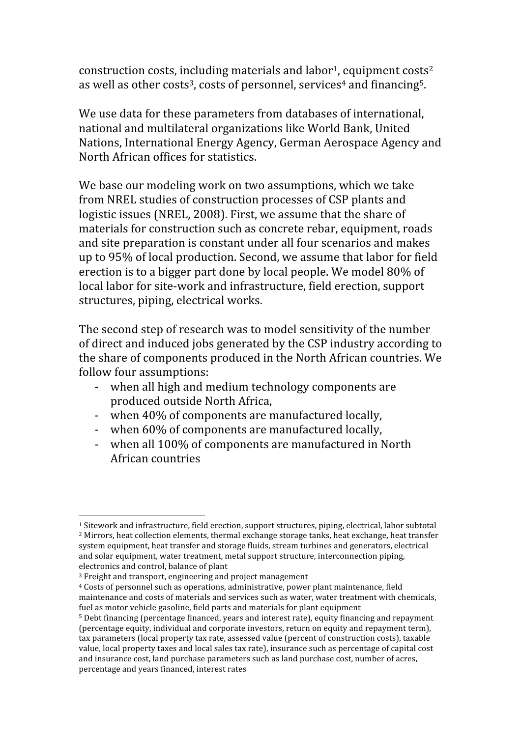construction costs, including materials and labor<sup>1</sup>, equipment costs<sup>2</sup> as well as other costs<sup>3</sup>, costs of personnel, services<sup>4</sup> and financing<sup>5</sup>.

We use data for these parameters from databases of international, national and multilateral organizations like World Bank, United Nations, International Energy Agency, German Aerospace Agency and North African offices for statistics.

We base our modeling work on two assumptions, which we take from NREL studies of construction processes of CSP plants and logistic issues (NREL, 2008). First, we assume that the share of materials for construction such as concrete rebar, equipment, roads and site preparation is constant under all four scenarios and makes up to 95% of local production. Second, we assume that labor for field erection is to a bigger part done by local people. We model 80% of local labor for site‐work and infrastructure, field erection, support structures, piping, electrical works.

The second step of research was to model sensitivity of the number of direct and induced jobs generated by the CSP industry according to the share of components produced in the North African countries. We follow four assumptions:

- ‐ when all high and medium technology components are produced outside North Africa,
- ‐ when 40% of components are manufactured locally,
- ‐ when 60% of components are manufactured locally,
- ‐ when all 100% of components are manufactured in North African countries

 1 Sitework and infrastructure, field erection, support structures, piping, electrical, labor subtotal 2 Mirrors, heat collection elements, thermal exchange storage tanks, heat exchange, heat transfer system equipment, heat transfer and storage fluids, stream turbines and generators, electrical and solar equipment, water treatment, metal support structure, interconnection piping, electronics and control, balance of plant

<sup>3</sup> Freight and transport, engineering and project management

<sup>4</sup> Costs of personnel such as operations, administrative, power plant maintenance, field maintenance and costs of materials and services such as water, water treatment with chemicals, fuel as motor vehicle gasoline, field parts and materials for plant equipment

<sup>5</sup> Debt financing (percentage financed, years and interest rate), equity financing and repayment (percentage equity, individual and corporate investors, return on equity and repayment term), tax parameters (local property tax rate, assessed value (percent of construction costs), taxable value, local property taxes and local sales tax rate), insurance such as percentage of capital cost and insurance cost, land purchase parameters such as land purchase cost, number of acres, percentage and years financed, interest rates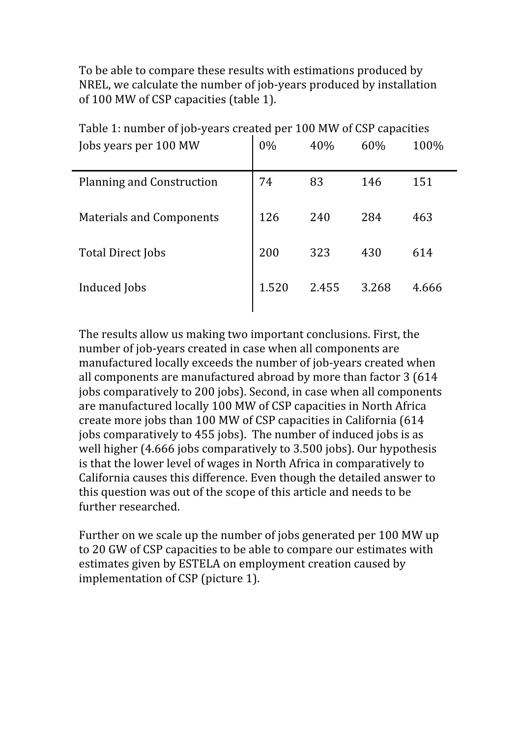To be able to compare these results with estimations produced by NREL, we calculate the number of job‐years produced by installation of 100 MW of CSP capacities (table 1).

| Table 1. Hulliber of jub-years created per Too M W Or CST capacities |       |       |       |       |
|----------------------------------------------------------------------|-------|-------|-------|-------|
| Jobs years per 100 MW                                                | $0\%$ | 40%   | 60%   | 100%  |
| <b>Planning and Construction</b>                                     | 74    | 83    | 146   | 151   |
| <b>Materials and Components</b>                                      | 126   | 240   | 284   | 463   |
| <b>Total Direct Jobs</b>                                             | 200   | 323   | 430   | 614   |
| Induced Jobs                                                         | 1.520 | 2.455 | 3.268 | 4.666 |
|                                                                      |       |       |       |       |

Table 1: number of job‐years created per 100 MW of CSP capacities

The results allow us making two important conclusions. First, the number of job‐years created in case when all components are manufactured locally exceeds the number of job‐years created when all components are manufactured abroad by more than factor 3 (614 jobs comparatively to 200 jobs). Second, in case when all components are manufactured locally 100 MW of CSP capacities in North Africa create more jobs than 100 MW of CSP capacities in California (614 jobs comparatively to 455 jobs). The number of induced jobs is as well higher (4.666 jobs comparatively to 3.500 jobs). Our hypothesis is that the lower level of wages in North Africa in comparatively to California causes this difference. Even though the detailed answer to this question was out of the scope of this article and needs to be further researched.

Further on we scale up the number of jobs generated per 100 MW up to 20 GW of CSP capacities to be able to compare our estimates with estimates given by ESTELA on employment creation caused by implementation of CSP (picture 1).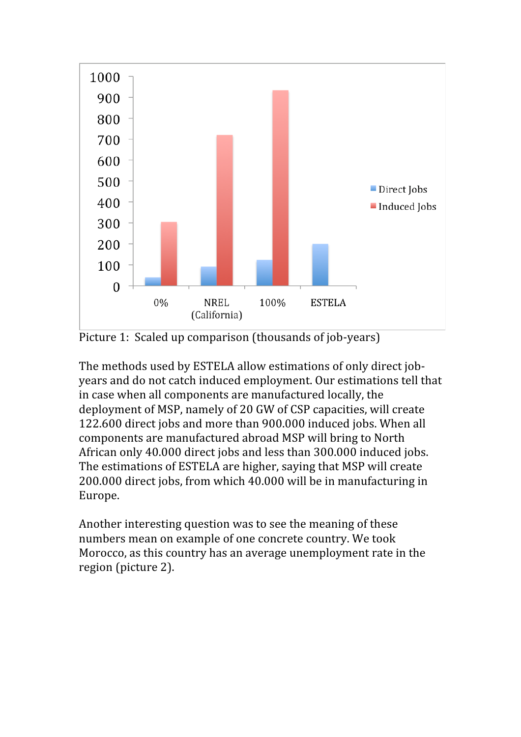

Picture 1: Scaled up comparison (thousands of job-years)

The methods used by ESTELA allow estimations of only direct jobyears and do not catch induced employment. Our estimations tell that in case when all components are manufactured locally, the deployment of MSP, namely of 20 GW of CSP capacities, will create 122.600 direct jobs and more than 900.000 induced jobs. When all components are manufactured abroad MSP will bring to North African only 40.000 direct jobs and less than 300.000 induced jobs. The estimations of ESTELA are higher, saying that MSP will create 200.000 direct jobs, from which 40.000 will be in manufacturing in Europe.

Another interesting question was to see the meaning of these numbers mean on example of one concrete country. We took Morocco, as this country has an average unemployment rate in the region (picture 2).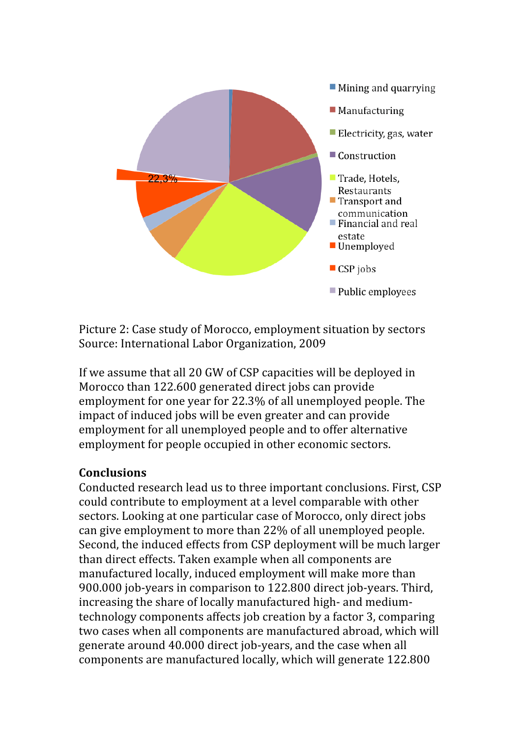

Picture 2: Case study of Morocco, employment situation by sectors Source: International Labor Organization, 2009

If we assume that all 20 GW of CSP capacities will be deployed in Morocco than 122.600 generated direct jobs can provide employment for one year for 22.3% of all unemployed people. The impact of induced jobs will be even greater and can provide employment for all unemployed people and to offer alternative employment for people occupied in other economic sectors.

## **Conclusions**

Conducted research lead us to three important conclusions. First, CSP could contribute to employment at a level comparable with other sectors. Looking at one particular case of Morocco, only direct jobs can give employment to more than 22% of all unemployed people. Second, the induced effects from CSP deployment will be much larger than direct effects. Taken example when all components are manufactured locally, induced employment will make more than 900.000 job-years in comparison to 122.800 direct job-years. Third, increasing the share of locally manufactured high- and mediumtechnology components affects job creation by a factor 3, comparing two cases when all components are manufactured abroad, which will generate around 40.000 direct job‐years, and the case when all components are manufactured locally, which will generate 122.800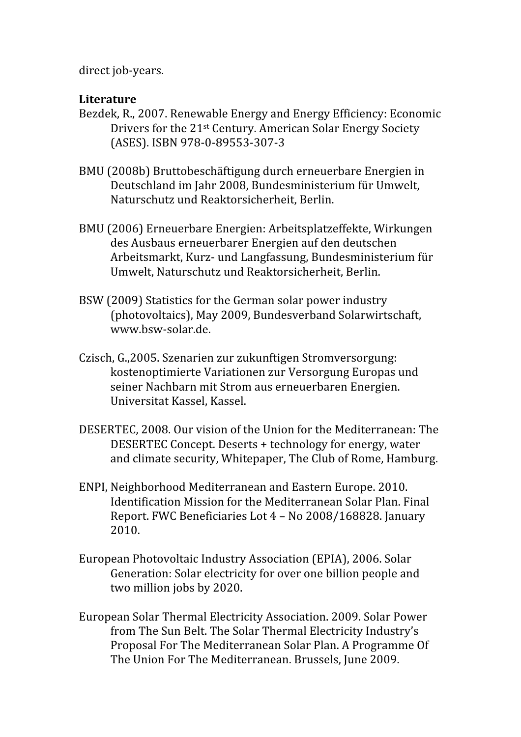direct job‐years.

# **Literature**

- Bezdek, R., 2007. Renewable Energy and Energy Efficiency: Economic Drivers for the 21st Century. American Solar Energy Society (ASES). ISBN 978‐0‐89553‐307‐3
- BMU (2008b) Bruttobeschäftigung durch erneuerbare Energien in Deutschland im Jahr 2008, Bundesministerium für Umwelt, Naturschutz und Reaktorsicherheit, Berlin.
- BMU (2006) Erneuerbare Energien: Arbeitsplatzeffekte, Wirkungen des Ausbaus erneuerbarer Energien auf den deutschen Arbeitsmarkt, Kurz‐ und Langfassung, Bundesministerium für Umwelt, Naturschutz und Reaktorsicherheit, Berlin.
- BSW (2009) Statistics for the German solar power industry (photovoltaics), May 2009, Bundesverband Solarwirtschaft, www.bsw‐solar.de.
- Czisch, G.,2005. Szenarien zur zukunftigen Stromversorgung: kostenoptimierte Variationen zur Versorgung Europas und seiner Nachbarn mit Strom aus erneuerbaren Energien. Universitat Kassel, Kassel.
- DESERTEC, 2008. Our vision of the Union for the Mediterranean: The DESERTEC Concept. Deserts + technology for energy, water and climate security, Whitepaper, The Club of Rome, Hamburg.
- ENPI, Neighborhood Mediterranean and Eastern Europe. 2010. Identification Mission for the Mediterranean Solar Plan. Final Report. FWC Beneficiaries Lot 4 – No 2008/168828. January 2010.
- European Photovoltaic Industry Association (EPIA), 2006. Solar Generation: Solar electricity for over one billion people and two million jobs by 2020.
- European Solar Thermal Electricity Association. 2009. Solar Power from The Sun Belt. The Solar Thermal Electricity Industry's Proposal For The Mediterranean Solar Plan. A Programme Of The Union For The Mediterranean. Brussels, June 2009.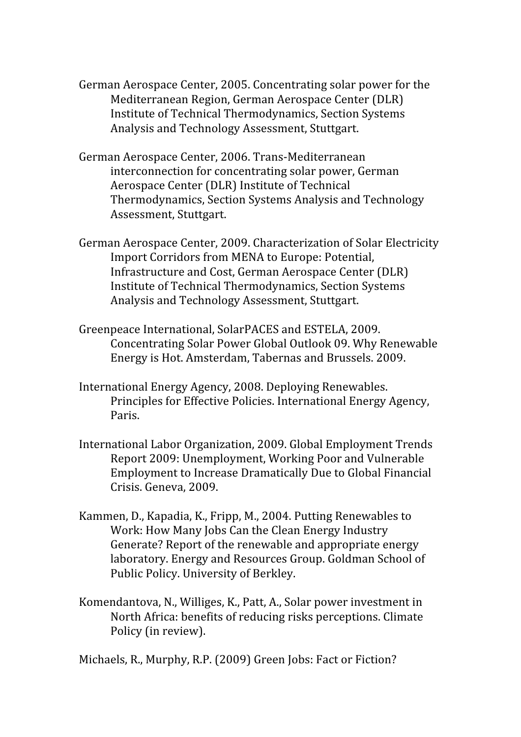- German Aerospace Center, 2005. Concentrating solar power for the Mediterranean Region, German Aerospace Center (DLR) Institute of Technical Thermodynamics, Section Systems Analysis and Technology Assessment, Stuttgart.
- German Aerospace Center, 2006. Trans‐Mediterranean interconnection for concentrating solar power, German Aerospace Center (DLR) Institute of Technical Thermodynamics, Section Systems Analysis and Technology Assessment, Stuttgart.
- German Aerospace Center, 2009. Characterization of Solar Electricity Import Corridors from MENA to Europe: Potential, Infrastructure and Cost, German Aerospace Center (DLR) Institute of Technical Thermodynamics, Section Systems Analysis and Technology Assessment, Stuttgart.
- Greenpeace International, SolarPACES and ESTELA, 2009. Concentrating Solar Power Global Outlook 09. Why Renewable Energy is Hot. Amsterdam, Tabernas and Brussels. 2009.
- International Energy Agency, 2008. Deploying Renewables. Principles for Effective Policies. International Energy Agency, Paris.
- International Labor Organization, 2009. Global Employment Trends Report 2009: Unemployment, Working Poor and Vulnerable Employment to Increase Dramatically Due to Global Financial Crisis. Geneva, 2009.
- Kammen, D., Kapadia, K., Fripp, M., 2004. Putting Renewables to Work: How Many Jobs Can the Clean Energy Industry Generate? Report of the renewable and appropriate energy laboratory. Energy and Resources Group. Goldman School of Public Policy. University of Berkley.
- Komendantova, N., Williges, K., Patt, A., Solar power investment in North Africa: benefits of reducing risks perceptions. Climate Policy (in review).

Michaels, R., Murphy, R.P. (2009) Green Jobs: Fact or Fiction?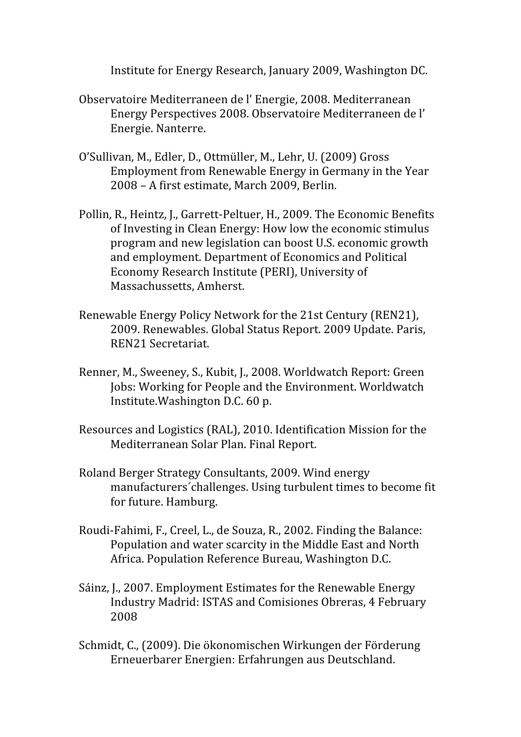Institute for Energy Research, January 2009, Washington DC.

- Observatoire Mediterraneen de l' Energie, 2008. Mediterranean Energy Perspectives 2008. Observatoire Mediterraneen de l' Energie. Nanterre.
- O'Sullivan, M., Edler, D., Ottmüller, M., Lehr, U. (2009) Gross Employment from Renewable Energy in Germany in the Year 2008 – A first estimate, March 2009, Berlin.
- Pollin, R., Heintz, J., Garrett‐Peltuer, H., 2009. The Economic Benefits of Investing in Clean Energy: How low the economic stimulus program and new legislation can boost U.S. economic growth and employment. Department of Economics and Political Economy Research Institute (PERI), University of Massachussetts, Amherst.
- Renewable Energy Policy Network for the 21st Century (REN21), 2009. Renewables. Global Status Report. 2009 Update. Paris, REN21 Secretariat.
- Renner, M., Sweeney, S., Kubit, J., 2008. Worldwatch Report: Green Jobs: Working for People and the Environment. Worldwatch Institute.Washington D.C. 60 p.
- Resources and Logistics (RAL), 2010. Identification Mission for the Mediterranean Solar Plan. Final Report.
- Roland Berger Strategy Consultants, 2009. Wind energy manufacturers´challenges. Using turbulent times to become fit for future. Hamburg.
- Roudi‐Fahimi, F., Creel, L., de Souza, R., 2002. Finding the Balance: Population and water scarcity in the Middle East and North Africa. Population Reference Bureau, Washington D.C.
- Sáinz, J., 2007. Employment Estimates for the Renewable Energy Industry Madrid: ISTAS and Comisiones Obreras, 4 February 2008
- Schmidt, C., (2009). Die ökonomischen Wirkungen der Förderung Erneuerbarer Energien: Erfahrungen aus Deutschland.